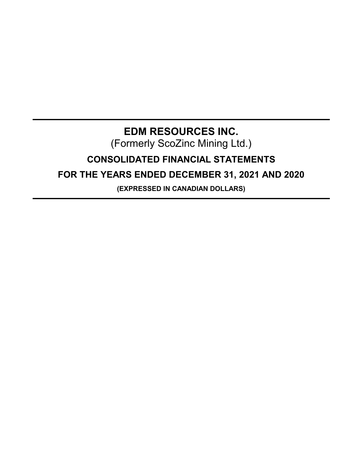# **EDM RESOURCES INC.** (Formerly ScoZinc Mining Ltd.) **CONSOLIDATED FINANCIAL STATEMENTS FOR THE YEARS ENDED DECEMBER 31, 2021 AND 2020**

**(EXPRESSED IN CANADIAN DOLLARS)**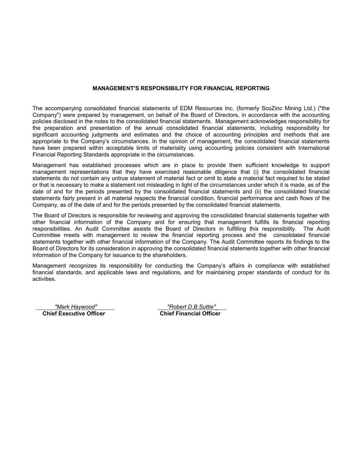# **MANAGEMENT'S RESPONSIBILITY FOR FINANCIAL REPORTING**

The accompanying consolidated financial statements of EDM Resources Inc. (formerly ScoZinc Mining Ltd.) ("the Company") were prepared by management, on behalf of the Board of Directors, in accordance with the accounting policies disclosed in the notes to the consolidated financial statements. Management acknowledges responsibility for the preparation and presentation of the annual consolidated financial statements, including responsibility for significant accounting judgments and estimates and the choice of accounting principles and methods that are appropriate to the Company's circumstances. In the opinion of management, the consolidated financial statements have been prepared within acceptable limits of materiality using accounting policies consistent with International Financial Reporting Standards appropriate in the circumstances.

Management has established processes which are in place to provide them sufficient knowledge to support management representations that they have exercised reasonable diligence that (i) the consolidated financial statements do not contain any untrue statement of material fact or omit to state a material fact required to be stated or that is necessary to make a statement not misleading in light of the circumstances under which it is made, as of the date of and for the periods presented by the consolidated financial statements and (ii) the consolidated financial statements fairly present in all material respects the financial condition, financial performance and cash flows of the Company, as of the date of and for the periods presented by the consolidated financial statements.

The Board of Directors is responsible for reviewing and approving the consolidated financial statements together with other financial information of the Company and for ensuring that management fulfills its financial reporting responsibilities. An Audit Committee assists the Board of Directors in fulfilling this responsibility. The Audit Committee meets with management to review the financial reporting process and the consolidated financial statements together with other financial information of the Company. The Audit Committee reports its findings to the Board of Directors for its consideration in approving the consolidated financial statements together with other financial information of the Company for issuance to the shareholders.

Management recognizes its responsibility for conducting the Company's affairs in compliance with established financial standards, and applicable laws and regulations, and for maintaining proper standards of conduct for its activities.

**Chief Executive Officer Chief Financial Officer**

*"Mark Haywood" "Robert D.B.Suttie"*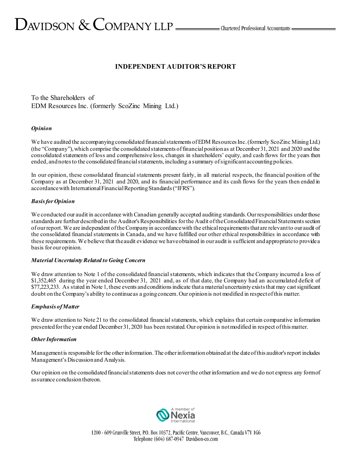# $D_{\text{AVIDSON}} \&$  COMPANY LLP  $\_\_\_\_\$ Chartered Professional Accountants

# **INDEPENDENT AUDITOR'S REPORT**

To the Shareholders of EDM Resources Inc. (formerly ScoZinc Mining Ltd.)

# *Opinion*

We have audited the accompanying consolidated financial statements of EDM Resources Inc. (formerly ScoZinc Mining Ltd.) (the "Company"), which comprise the consolidated statements of financial position as at December 31, 2021 and 2020 and the consolidated statements of loss and comprehensive loss, changes in shareholders' equity, and cash flows for the years then ended, and notesto the consolidated financial statements, including a summary of significant accounting policies.

In our opinion, these consolidated financial statements present fairly, in all material respects, the financial position of the Company as at December 31, 2021 and 2020, and its financial performance and its cash flows for the years then ended in accordance with International Financial Reporting Standards("IFRS").

# *Basis for Opinion*

We conducted our audit in accordance with Canadian generally accepted auditing standards. Our responsibilities under those standards are further described in the Auditor's Responsibilities for the Audit of the Consolidated Financial Statements section of our report. We are independent of the Company in accordance with the ethical requirements that are relevant to our audit of the consolidated financial statements in Canada, and we have fulfilled our other ethical responsibilities in accordance with these requirements. We believe that the audit evidence we have obtained in our audit is sufficient and appropriate to provide a basis for our opinion.

#### *Material Uncertainty Related to Going Concern*

We draw attention to Note 1 of the consolidated financial statements, which indicates that the Company incurred a loss of \$1,352,465 during the year ended December 31, 2021 and, as of that date, the Company had an accumulated deficit of \$77,223,233. As stated in Note 1,these events and conditions indicate that a material uncertainty exists that may cast significant doubt on the Company's ability to continue as a going concern. Our opinion is not modified in respect of this matter.

#### *Emphasis of Matter*

We draw attention to Note 21 to the consolidated financial statements, which explains that certain comparative information presented for the year ended December 31, 2020 has been restated. Our opinion is not modified in respect of this matter.

#### *Other Information*

Management is responsible for the other information. The other information obtained at the date of this auditor's report includes Management's Discussion and Analysis.

Our opinion on the consolidated financial statements does not cover the other information and we do not express any form of assurance conclusion thereon.

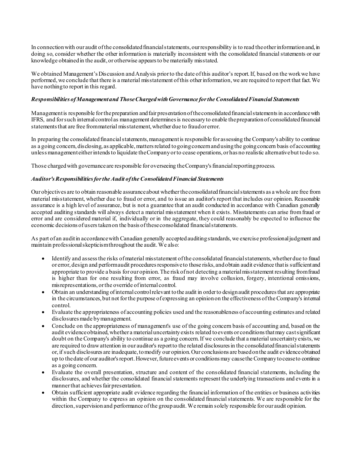In connection with our audit of the consolidated financial statements, our responsibility is to read the other information and, in doing so, consider whether the other information is materially inconsistent with the consolidated financial statements or our knowledge obtained in the audit, or otherwise appears to be materially misstated.

We obtained Management's Discussion and Analysis prior to the date of this auditor's report.If, based on the work we have performed, we conclude that there is a material misstatement of this other information, we are required to report that fact. We have nothing to report in this regard.

# *Responsibilities of Management and Those Charged with Governance for the ConsolidatedFinancial Statements*

Management is responsible for the preparation and fair presentation of the consolidated financial statements in accordance with IFRS, and for such internal control as management determines is necessary to enable the preparation of consolidated financial statements that are free from material misstatement, whether due to fraud or error.

In preparing the consolidated financial statements, management is responsible for assessing the Company's ability to continue as a going concern, disclosing, as applicable, matters related to going concern and using the going concern basis of accounting unless management either intends to liquidate the Company or to cease operations, or has no realistic alternative but to do so.

Those charged with governance are responsible for overseeing the Company's financial reporting process.

# *Auditor's Responsibilities for the Audit of the Consolidated Financial Statements*

Our objectives are to obtain reasonable assurance about whether the consolidated financial statements as a whole are free from material misstatement, whether due to fraud or error, and to issue an auditor's report that includes our opinion. Reasonable assurance is a high level of assurance, but is not a guarantee that an audit conducted in accordance with Canadian generally accepted auditing standards will always detect a material misstatement when it exists. Misstatements can arise from fraud or error and are considered material if, individually or in the aggregate, they could reasonably be expected to influence the economic decisions of users taken on the basis of these consolidated financial statements.

As part of an audit in accordance with Canadian generally accepted auditing standards, we exercise professional judgment and maintain professional skepticism throughout the audit. We also:

- Identify and assess the risks of material misstatement of the consolidated financial statements, whether due to fraud or error, design and perform audit procedures responsive to those risks, and obtain audit evidence that is sufficient and appropriate to provide a basis for our opinion. The risk of not detecting a material misstatement resulting from fraud is higher than for one resulting from error, as fraud may involve collusion, forgery, intentional omissions, misrepresentations, or the override of internal control.
- Obtain an understanding of internal control relevant to the audit in order to design audit procedures that are appropriate in the circumstances, but not for the purpose of expressing an opinion on the effectiveness of the Company's internal control.
- Evaluate the appropriateness of accounting policies used and the reasonableness of accounting estimates and related disclosures made by management.
- Conclude on the appropriateness of management's use of the going concern basis of accounting and, based on the audit evidence obtained, whether a material uncertainty exists related to events or conditions that may cast significant doubt on the Company's ability to continue as a going concern. If we conclude that a material uncertainty exists, we are required to draw attention in our auditor's report to the related disclosures in the consolidated financial statements or, if such disclosures are inadequate, to modify our opinion. Our conclusions are based on the audit evidence obtained up to the date of our auditor's report. However, future events or conditions may cause the Company to cease to continue as a going concern.
- Evaluate the overall presentation, structure and content of the consolidated financial statements, including the disclosures, and whether the consolidated financial statements represent the underlying transactions and events in a manner that achieves fair presentation.
- Obtain sufficient appropriate audit evidence regarding the financial information of the entities or business activities within the Company to express an opinion on the consolidated financial statements. We are responsible for the direction, supervision and performance of the group audit.We remain solely responsible for our audit opinion.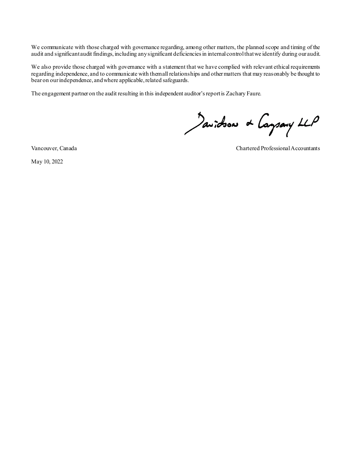We communicate with those charged with governance regarding, among other matters, the planned scope and timing of the audit and significant audit findings, including any significant deficiencies in internal control that we identify during our audit.

We also provide those charged with governance with a statement that we have complied with relevant ethical requirements regarding independence, and to communicate with them all relationships and other matters that may reasonably be thought to bear on our independence, and where applicable, related safeguards.

The engagement partner on the audit resulting in this independent auditor's report is Zachary Faure.

Javidson & Caysary LLP

May 10, 2022

Vancouver, Canada Chartered Professional Accountants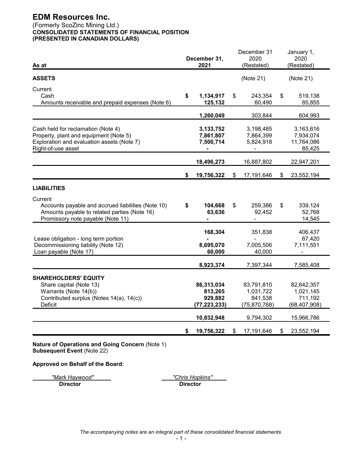# (Formerly ScoZinc Mining Ltd.) **CONSOLIDATED STATEMENTS OF FINANCIAL POSITION (PRESENTED IN CANADIAN DOLLARS)**

| As at                                              |    | December 31,<br>2021 | December 31<br>2020<br>(Restated) | January 1,<br>2020<br>(Restated) |
|----------------------------------------------------|----|----------------------|-----------------------------------|----------------------------------|
|                                                    |    |                      |                                   |                                  |
| <b>ASSETS</b>                                      |    |                      | (Note 21)                         | (Note 21)                        |
| Current                                            |    |                      |                                   |                                  |
| Cash                                               | \$ | 1,134,917            | \$<br>243,354                     | \$<br>519,138                    |
| Amounts receivable and prepaid expenses (Note 6)   |    | 125,132              | 60,490                            | 85,855                           |
|                                                    |    | 1,260,049            | 303,844                           | 604,993                          |
| Cash held for reclamation (Note 4)                 |    | 3,133,752            | 3,198,485                         | 3,163,616                        |
| Property, plant and equipment (Note 5)             |    | 7,861,807            | 7,864,399                         | 7,934,074                        |
| Exploration and evaluation assets (Note 7)         |    | 7,500,714            | 5,824,918                         | 11,764,086                       |
| Right-of-use asset                                 |    |                      |                                   | 85,425                           |
|                                                    |    | 18,496,273           | 16,887,802                        | 22,947,201                       |
|                                                    | \$ | 19,756,322           | \$<br>17,191,646                  | \$<br>23,552,194                 |
| <b>LIABILITIES</b>                                 |    |                      |                                   |                                  |
| Current                                            |    |                      |                                   |                                  |
| Accounts payable and accrued liabilities (Note 10) | \$ | 104,668              | \$<br>259,386                     | \$<br>339,124                    |
| Amounts payable to related parties (Note 16)       |    | 63,636               | 92,452                            | 52,768                           |
| Promissory note payable (Note 11)                  |    |                      |                                   | 14,545                           |
|                                                    |    | 168,304              | 351,838                           | 406,437                          |
| Lease obligation - long term portion               |    |                      |                                   | 67,420                           |
| Decommissioning liability (Note 12)                |    | 8,695,070            | 7,005,506                         | 7,111,551                        |
| Loan payable (Note 17)                             |    | 60,000               | 40,000                            |                                  |
|                                                    |    | 8,923,374            | 7,397,344                         | 7,585,408                        |
| <b>SHAREHOLDERS' EQUITY</b>                        |    |                      |                                   |                                  |
| Share capital (Note 13)                            |    | 86,313,034           | 83,791,810                        | 82,642,357                       |
| Warrants (Note 14(b))                              |    | 813,265              | 1,031,722                         | 1,021,145                        |
| Contributed surplus (Notes 14(a), 14(c))           |    | 929,882              | 841,538                           | 711,192                          |
| Deficit                                            |    | (77, 223, 233)       | (75, 870, 768)                    | (68, 407, 908)                   |
|                                                    |    | 10,832,948           | 9,794,302                         | 15,966,786                       |
|                                                    | S. | 19,756,322           | \$<br>17,191,646                  | \$<br>23,552,194                 |
|                                                    |    |                      |                                   |                                  |

**Nature of Operations and Going Concern** (Note 1) **Subsequent Event** (Note 22)

**Approved on Behalf of the Board:**

*"Mark Haywood" "Chris Hopkins"*

**Director Director**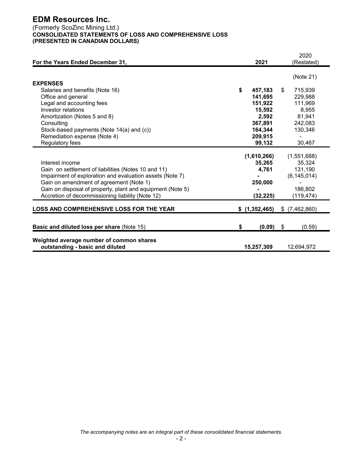# (Formerly ScoZinc Mining Ltd.) **CONSOLIDATED STATEMENTS OF LOSS AND COMPREHENSIVE LOSS (PRESENTED IN CANADIAN DOLLARS)**

| For the Years Ended December 31,                                                                                                                                                                                                                                                                | 2021                                                   | 2020<br>(Restated)                                                        |
|-------------------------------------------------------------------------------------------------------------------------------------------------------------------------------------------------------------------------------------------------------------------------------------------------|--------------------------------------------------------|---------------------------------------------------------------------------|
|                                                                                                                                                                                                                                                                                                 |                                                        | (Note 21)                                                                 |
| <b>EXPENSES</b>                                                                                                                                                                                                                                                                                 |                                                        |                                                                           |
| Salaries and benefits (Note 16)                                                                                                                                                                                                                                                                 | \$<br>457,183                                          | \$<br>715,939                                                             |
| Office and general                                                                                                                                                                                                                                                                              | 141,695                                                | 229,988                                                                   |
| Legal and accounting fees                                                                                                                                                                                                                                                                       | 151,922                                                | 111,969                                                                   |
| Investor relations                                                                                                                                                                                                                                                                              | 15,592                                                 | 8,955                                                                     |
| Amortization (Notes 5 and 8)                                                                                                                                                                                                                                                                    | 2,592                                                  | 81,941                                                                    |
| Consulting                                                                                                                                                                                                                                                                                      | 367,891                                                | 242,083                                                                   |
| Stock-based payments (Note 14(a) and (c))                                                                                                                                                                                                                                                       | 164,344                                                | 130,346                                                                   |
| Remediation expense (Note 4)                                                                                                                                                                                                                                                                    | 209,915                                                |                                                                           |
| Regulatory fees                                                                                                                                                                                                                                                                                 | 99,132                                                 | 30,467                                                                    |
| Interest income<br>Gain on settlement of liabilities (Notes 10 and 11)<br>Impairment of exploration and evaluation assets (Note 7)<br>Gain on amendment of agreement (Note 1)<br>Gain on disposal of property, plant and equipment (Note 5)<br>Accretion of decommissioning liability (Note 12) | (1,610,266)<br>35,265<br>4,761<br>250,000<br>(32, 225) | (1,551,688)<br>35,324<br>131,190<br>(6, 145, 014)<br>186,802<br>(119,474) |
| <b>LOSS AND COMPREHENSIVE LOSS FOR THE YEAR</b>                                                                                                                                                                                                                                                 | \$(1,352,465)                                          | $$$ $(7,462,860)$                                                         |
| <b>Basic and diluted loss per share (Note 15)</b>                                                                                                                                                                                                                                               | \$<br>(0.09)                                           | \$<br>(0.59)                                                              |
| Weighted average number of common shares<br>outstanding - basic and diluted                                                                                                                                                                                                                     | 15,257,309                                             | 12,694,972                                                                |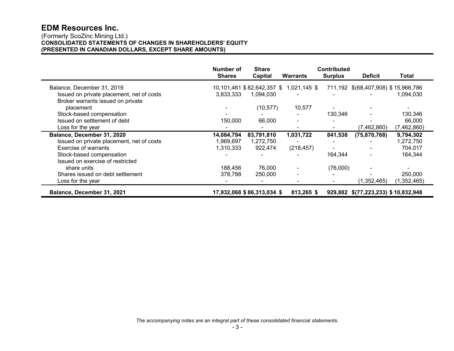#### (Formerly ScoZinc Mining Ltd.) **CONSOLIDATED STATEMENTS OF CHANGES IN SHAREHOLDERS' EQUITY (PRESENTED IN CANADIAN DOLLARS, EXCEPT SHARE AMOUNTS)**

|                                           | Number of<br><b>Shares</b> | <b>Share</b><br>Capital    | <b>Warrants</b> | <b>Contributed</b><br><b>Surplus</b> | <b>Deficit</b>                      | Total       |
|-------------------------------------------|----------------------------|----------------------------|-----------------|--------------------------------------|-------------------------------------|-------------|
| Balance, December 31, 2019                |                            | 10,101,461 \$82,642,357 \$ | $1,021,145$ \$  |                                      | 711,192 \$(68,407,908) \$15,966,786 |             |
| Issued on private placement, net of costs | 3.833.333                  | 1,094,030                  |                 |                                      |                                     | 1,094,030   |
| Broker warrants issued on private         |                            |                            |                 |                                      |                                     |             |
| placement                                 |                            | (10, 577)                  | 10,577          |                                      |                                     |             |
| Stock-based compensation                  |                            |                            |                 | 130,346                              |                                     | 130,346     |
| Issued on settlement of debt              | 150,000                    | 66,000                     |                 |                                      |                                     | 66,000      |
| Loss for the year                         |                            |                            |                 |                                      | (7,462,860)                         | (7,462,860) |
| Balance, December 31, 2020                | 14,084,794                 | 83,791,810                 | 1,031,722       | 841,538                              | (75, 870, 768)                      | 9,794,302   |
| Issued on private placement, net of costs | 1,969,697                  | 1,272,750                  |                 |                                      |                                     | 1,272,750   |
| Exercise of warrants                      | 1,310,333                  | 922,474                    | (218, 457)      |                                      |                                     | 704,017     |
| Stock-based compensation                  |                            |                            |                 | 164.344                              |                                     | 164,344     |
| Issued on exercise of restricted          |                            |                            |                 |                                      |                                     |             |
| share units                               | 188,456                    | 76,000                     |                 | (76,000)                             |                                     |             |
| Shares issued on debt settlement          | 378,788                    | 250,000                    | $\blacksquare$  |                                      |                                     | 250,000     |
| Loss for the year                         |                            |                            |                 |                                      | (1,352,465)                         | (1,352,465) |
| Balance, December 31, 2021                |                            | 17,932,068 \$86,313,034 \$ | 813,265 \$      |                                      | 929,882 \$(77,223,233) \$10,832,948 |             |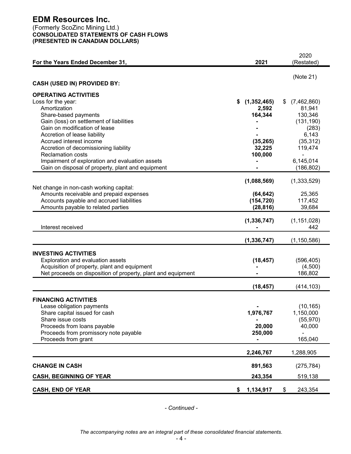# (Formerly ScoZinc Mining Ltd.) **CONSOLIDATED STATEMENTS OF CASH FLOWS (PRESENTED IN CANADIAN DOLLARS)**

|                                                                  |                     | 2020                 |
|------------------------------------------------------------------|---------------------|----------------------|
| For the Years Ended December 31,                                 | 2021                | (Restated)           |
|                                                                  |                     |                      |
| <b>CASH (USED IN) PROVIDED BY:</b>                               |                     | (Note 21)            |
|                                                                  |                     |                      |
| <b>OPERATING ACTIVITIES</b>                                      |                     |                      |
| Loss for the year:                                               | (1,352,465)<br>\$   | (7,462,860)<br>S     |
| Amortization                                                     | 2,592               | 81,941               |
| Share-based payments                                             | 164,344             | 130,346              |
| Gain (loss) on settlement of liabilities                         |                     | (131, 190)           |
| Gain on modification of lease                                    |                     | (283)                |
| Accretion of lease liability                                     |                     | 6,143                |
| Accrued interest income<br>Accretion of decomissioning liability | (35, 265)<br>32,225 | (35, 312)<br>119,474 |
| <b>Reclamation costs</b>                                         | 100,000             |                      |
| Impairment of exploration and evaluation assets                  |                     | 6,145,014            |
| Gain on disposal of property, plant and equipment                |                     | (186, 802)           |
|                                                                  |                     |                      |
|                                                                  | (1,088,569)         | (1,333,529)          |
| Net change in non-cash working capital:                          |                     |                      |
| Amounts receivable and prepaid expenses                          | (64, 642)           | 25,365               |
| Accounts payable and accrued liabilities                         | (154, 720)          | 117,452              |
| Amounts payable to related parties                               | (28, 816)           | 39,684               |
|                                                                  |                     |                      |
| Interest received                                                | (1, 336, 747)       | (1, 151, 028)<br>442 |
|                                                                  |                     |                      |
|                                                                  | (1, 336, 747)       | (1, 150, 586)        |
| <b>INVESTING ACTIVITIES</b>                                      |                     |                      |
| Exploration and evaluation assets                                | (18, 457)           | (596, 405)           |
| Acquisition of property, plant and equipment                     |                     | (4,500)              |
| Net proceeds on disposition of property, plant and equipment     |                     | 186,802              |
|                                                                  |                     |                      |
|                                                                  | (18, 457)           | (414, 103)           |
| <b>FINANCING ACTIVITIES</b>                                      |                     |                      |
| Lease obligation payments                                        |                     | (10, 165)            |
| Share capital issued for cash                                    | 1,976,767           | 1,150,000            |
| Share issue costs                                                |                     | (55, 970)            |
| Proceeds from loans payable                                      | 20,000              | 40,000               |
| Proceeds from promissory note payable                            | 250,000             |                      |
| Proceeds from grant                                              |                     | 165,040              |
|                                                                  |                     |                      |
|                                                                  | 2,246,767           | 1,288,905            |
| <b>CHANGE IN CASH</b>                                            | 891,563             | (275, 784)           |
| <b>CASH, BEGINNING OF YEAR</b>                                   | 243,354             | 519,138              |
| <b>CASH, END OF YEAR</b>                                         | 1,134,917<br>\$     | \$<br>243,354        |

*- Continued -*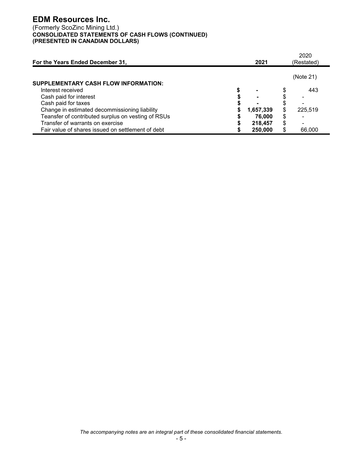# (Formerly ScoZinc Mining Ltd.) **CONSOLIDATED STATEMENTS OF CASH FLOWS (CONTINUED) (PRESENTED IN CANADIAN DOLLARS)**

| For the Years Ended December 31,                   | 2021           |   | 2020<br>(Restated) |
|----------------------------------------------------|----------------|---|--------------------|
|                                                    |                |   | (Note 21)          |
| SUPPLEMENTARY CASH FLOW INFORMATION:               |                |   |                    |
| Interest received                                  | $\blacksquare$ |   | 443                |
| Cash paid for interest                             | -              |   |                    |
| Cash paid for taxes                                |                |   |                    |
| Change in estimated decommissioning liability      | 1,657,339      |   | 225,519            |
| Teansfer of contributed surplus on vesting of RSUs | 76,000         | S |                    |
| Transfer of warrants on exercise                   | 218,457        | S |                    |
| Fair value of shares issued on settlement of debt  | 250,000        |   | 66,000             |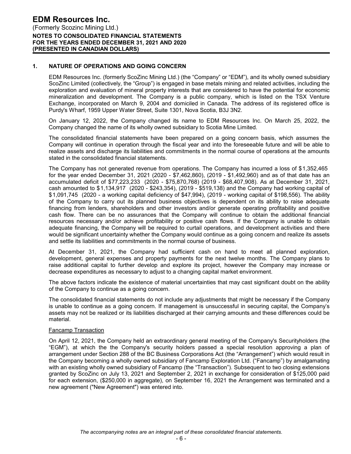# **1. NATURE OF OPERATIONS AND GOING CONCERN**

EDM Resources Inc. (formerly ScoZinc Mining Ltd.) (the "Company" or "EDM"), and its wholly owned subsidiary ScoZinc Limited (collectively, the "Group") is engaged in base metals mining and related activities, including the exploration and evaluation of mineral property interests that are considered to have the potential for economic mineralization and development. The Company is a public company, which is listed on the TSX Venture Exchange, incorporated on March 9, 2004 and domiciled in Canada. The address of its registered office is Purdy's Wharf, 1959 Upper Water Street, Suite 1301, Nova Scotia, B3J 3N2.

On January 12, 2022, the Company changed its name to EDM Resources Inc. On March 25, 2022, the Company changed the name of its wholly owned subsidiary to Scotia Mine Limited.

The consolidated financial statements have been prepared on a going concern basis, which assumes the Company will continue in operation through the fiscal year and into the foreseeable future and will be able to realize assets and discharge its liabilities and commitments in the normal course of operations at the amounts stated in the consolidated financial statements.

The Company has not generated revenue from operations. The Company has incurred a loss of \$1,352,465 for the year ended December 31, 2021 (2020 - \$7,462,860), (2019 - \$1,492,960) and as of that date has an accumulated deficit of \$77,223,233 (2020 - \$75,870,768) (2019 - \$68,407,908). As at December 31, 2021, cash amounted to \$1,134,917 (2020 - \$243,354), (2019 - \$519,138) and the Company had working capital of \$1,091,745 (2020 - a working capital deficiency of \$47,994), (2019 - working capital of \$198,556). The ability of the Company to carry out its planned business objectives is dependent on its ability to raise adequate financing from lenders, shareholders and other investors and/or generate operating profitability and positive cash flow. There can be no assurances that the Company will continue to obtain the additional financial resources necessary and/or achieve profitability or positive cash flows. If the Company is unable to obtain adequate financing, the Company will be required to curtail operations, and development activities and there would be significant uncertainty whether the Company would continue as a going concern and realize its assets and settle its liabilities and commitments in the normal course of business.

At December 31, 2021, the Company had sufficient cash on hand to meet all planned exploration, development, general expenses and property payments for the next twelve months. The Company plans to raise additional capital to further develop and explore its project, however the Company may increase or decrease expenditures as necessary to adjust to a changing capital market environment.

The above factors indicate the existence of material uncertainties that may cast significant doubt on the ability of the Company to continue as a going concern.

The consolidated financial statements do not include any adjustments that might be necessary if the Company is unable to continue as a going concern. If management is unsuccessful in securing capital, the Company's assets may not be realized or its liabilities discharged at their carrying amounts and these differences could be material.

#### Fancamp Transaction

On April 12, 2021, the Company held an extraordinary general meeting of the Company's Securityholders (the "EGM"), at which the the Company's security holders passed a special resolution approving a plan of arrangement under Section 288 of the BC Business Corporations Act (the "Arrangement") which would result in the Company becoming a wholly owned subsidiary of Fancamp Exploration Ltd. ("Fancamp") by amalgamating with an existing wholly owned subsidiary of Fancamp (the "Transaction"). Subsequent to two closing extensions granted by ScoZinc on July 13, 2021 and September 2, 2021 in exchange for consideration of \$125,000 paid for each extension, (\$250,000 in aggregate), on September 16, 2021 the Arrangement was terminated and a new agreement ("New Agreement") was entered into.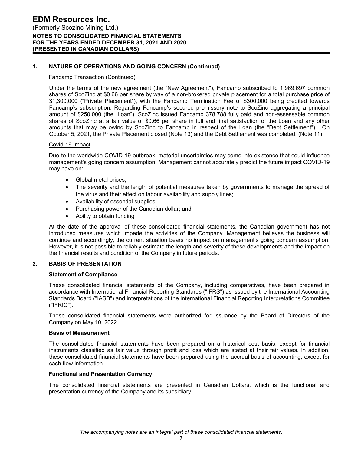# **1. NATURE OF OPERATIONS AND GOING CONCERN (Continued)**

#### Fancamp Transaction (Continued)

Under the terms of the new agreement (the "New Agreement"), Fancamp subscribed to 1,969,697 common shares of ScoZinc at \$0.66 per share by way of a non-brokered private placement for a total purchase price of \$1,300,000 ("Private Placement"), with the Fancamp Termination Fee of \$300,000 being credited towards Fancamp's subscription. Regarding Fancamp's secured promissory note to ScoZinc aggregating a principal amount of \$250,000 (the "Loan"), ScoZinc issued Fancamp 378,788 fully paid and non-assessable common shares of ScoZinc at a fair value of \$0.66 per share in full and final satisfaction of the Loan and any other amounts that may be owing by ScoZinc to Fancamp in respect of the Loan (the "Debt Settlement"). On October 5, 2021, the Private Placement closed (Note 13) and the Debt Settlement was completed. (Note 11)

#### Covid-19 Impact

Due to the worldwide COVID-19 outbreak, material uncertainties may come into existence that could influence management's going concern assumption. Management cannot accurately predict the future impact COVID-19 may have on:

- Global metal prices;
- The severity and the length of potential measures taken by governments to manage the spread of the virus and their effect on labour availability and supply lines;
- Availability of essential supplies;
- Purchasing power of the Canadian dollar; and
- Ability to obtain funding

At the date of the approval of these consolidated financial statements, the Canadian government has not introduced measures which impede the activities of the Company. Management believes the business will continue and accordingly, the current situation bears no impact on management's going concern assumption. However, it is not possible to reliably estimate the length and severity of these developments and the impact on the financial results and condition of the Company in future periods.

#### **2. BASIS OF PRESENTATION**

#### **Statement of Compliance**

These consolidated financial statements of the Company, including comparatives, have been prepared in accordance with International Financial Reporting Standards ("IFRS") as issued by the International Accounting Standards Board ("IASB") and interpretations of the International Financial Reporting Interpretations Committee ("IFRIC").

These consolidated financial statements were authorized for issuance by the Board of Directors of the Company on May 10, 2022.

#### **Basis of Measurement**

The consolidated financial statements have been prepared on a historical cost basis, except for financial instruments classified as fair value through profit and loss which are stated at their fair values. In addition, these consolidated financial statements have been prepared using the accrual basis of accounting, except for cash flow information.

#### **Functional and Presentation Currency**

The consolidated financial statements are presented in Canadian Dollars, which is the functional and presentation currency of the Company and its subsidiary.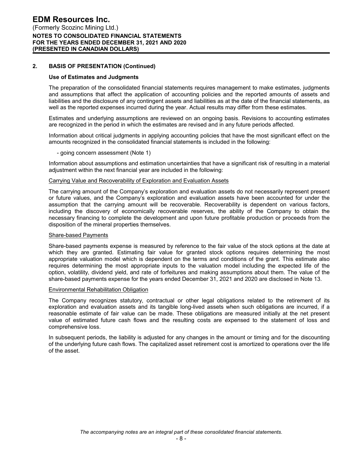# **2. BASIS OF PRESENTATION (Continued)**

#### **Use of Estimates and Judgments**

The preparation of the consolidated financial statements requires management to make estimates, judgments and assumptions that affect the application of accounting policies and the reported amounts of assets and liabilities and the disclosure of any contingent assets and liabilities as at the date of the financial statements, as well as the reported expenses incurred during the year. Actual results may differ from these estimates.

Estimates and underlying assumptions are reviewed on an ongoing basis. Revisions to accounting estimates are recognized in the period in which the estimates are revised and in any future periods affected.

Information about critical judgments in applying accounting policies that have the most significant effect on the amounts recognized in the consolidated financial statements is included in the following:

- going concern assessment (Note 1)

Information about assumptions and estimation uncertainties that have a significant risk of resulting in a material adjustment within the next financial year are included in the following:

#### Carrying Value and Recoverability of Exploration and Evaluation Assets

The carrying amount of the Company's exploration and evaluation assets do not necessarily represent present or future values, and the Company's exploration and evaluation assets have been accounted for under the assumption that the carrying amount will be recoverable. Recoverability is dependent on various factors, including the discovery of economically recoverable reserves, the ability of the Company to obtain the necessary financing to complete the development and upon future profitable production or proceeds from the disposition of the mineral properties themselves.

#### Share-based Payments

Share-based payments expense is measured by reference to the fair value of the stock options at the date at which they are granted. Estimating fair value for granted stock options requires determining the most appropriate valuation model which is dependent on the terms and conditions of the grant. This estimate also requires determining the most appropriate inputs to the valuation model including the expected life of the option, volatility, dividend yield, and rate of forfeitures and making assumptions about them. The value of the share-based payments expense for the years ended December 31, 2021 and 2020 are disclosed in Note 13.

#### Environmental Rehabilitation Obligation

The Company recognizes statutory, contractual or other legal obligations related to the retirement of its exploration and evaluation assets and its tangible long-lived assets when such obligations are incurred, if a reasonable estimate of fair value can be made. These obligations are measured initially at the net present value of estimated future cash flows and the resulting costs are expensed to the statement of loss and comprehensive loss.

In subsequent periods, the liability is adjusted for any changes in the amount or timing and for the discounting of the underlying future cash flows. The capitalized asset retirement cost is amortized to operations over the life of the asset.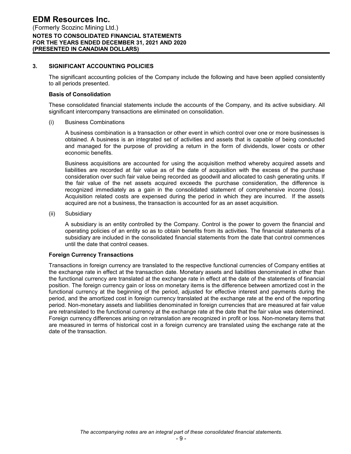#### **3. SIGNIFICANT ACCOUNTING POLICIES**

The significant accounting policies of the Company include the following and have been applied consistently to all periods presented.

#### **Basis of Consolidation**

These consolidated financial statements include the accounts of the Company, and its active subsidiary. All significant intercompany transactions are eliminated on consolidation.

(i) Business Combinations

A business combination is a transaction or other event in which control over one or more businesses is obtained. A business is an integrated set of activities and assets that is capable of being conducted and managed for the purpose of providing a return in the form of dividends, lower costs or other economic benefits.

Business acquisitions are accounted for using the acquisition method whereby acquired assets and liabilities are recorded at fair value as of the date of acquisition with the excess of the purchase consideration over such fair value being recorded as goodwill and allocated to cash generating units. If the fair value of the net assets acquired exceeds the purchase consideration, the difference is recognized immediately as a gain in the consolidated statement of comprehensive income (loss). Acquisition related costs are expensed during the period in which they are incurred. If the assets acquired are not a business, the transaction is accounted for as an asset acquisition.

(ii) Subsidiary

A subsidiary is an entity controlled by the Company. Control is the power to govern the financial and operating policies of an entity so as to obtain benefits from its activities. The financial statements of a subsidiary are included in the consolidated financial statements from the date that control commences until the date that control ceases.

#### **Foreign Currency Transactions**

Transactions in foreign currency are translated to the respective functional currencies of Company entities at the exchange rate in effect at the transaction date. Monetary assets and liabilities denominated in other than the functional currency are translated at the exchange rate in effect at the date of the statements of financial position. The foreign currency gain or loss on monetary items is the difference between amortized cost in the functional currency at the beginning of the period, adjusted for effective interest and payments during the period, and the amortized cost in foreign currency translated at the exchange rate at the end of the reporting period. Non-monetary assets and liabilities denominated in foreign currencies that are measured at fair value are retranslated to the functional currency at the exchange rate at the date that the fair value was determined. Foreign currency differences arising on retranslation are recognized in profit or loss. Non-monetary items that are measured in terms of historical cost in a foreign currency are translated using the exchange rate at the date of the transaction.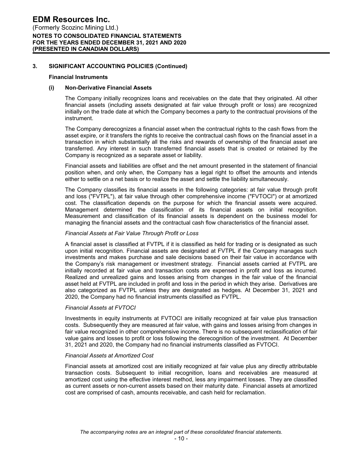#### **Financial Instruments**

#### **(i) Non-Derivative Financial Assets**

The Company initially recognizes loans and receivables on the date that they originated. All other financial assets (including assets designated at fair value through profit or loss) are recognized initially on the trade date at which the Company becomes a party to the contractual provisions of the instrument.

The Company derecognizes a financial asset when the contractual rights to the cash flows from the asset expire, or it transfers the rights to receive the contractual cash flows on the financial asset in a transaction in which substantially all the risks and rewards of ownership of the financial asset are transferred. Any interest in such transferred financial assets that is created or retained by the Company is recognized as a separate asset or liability.

Financial assets and liabilities are offset and the net amount presented in the statement of financial position when, and only when, the Company has a legal right to offset the amounts and intends either to settle on a net basis or to realize the asset and settle the liability simultaneously.

The Company classifies its financial assets in the following categories: at fair value through profit and loss ("FVTPL"), at fair value through other comprehensive income ("FVTOCI") or at amortized cost. The classification depends on the purpose for which the financial assets were acquired. Management determined the classification of its financial assets on initial recognition. Measurement and classification of its financial assets is dependent on the business model for managing the financial assets and the contractual cash flow characteristics of the financial asset.

#### *Financial Assets at Fair Value Through Profit or Loss*

A financial asset is classified at FVTPL if it is classified as held for trading or is designated as such upon initial recognition. Financial assets are designated at FVTPL if the Company manages such investments and makes purchase and sale decisions based on their fair value in accordance with the Company's risk management or investment strategy. Financial assets carried at FVTPL are initially recorded at fair value and transaction costs are expensed in profit and loss as incurred. Realized and unrealized gains and losses arising from changes in the fair value of the financial asset held at FVTPL are included in profit and loss in the period in which they arise. Derivatives are also categorized as FVTPL unless they are designated as hedges. At December 31, 2021 and 2020, the Company had no financial instruments classified as FVTPL.

#### *Financial Assets at FVTOCI*

Investments in equity instruments at FVTOCI are initially recognized at fair value plus transaction costs. Subsequently they are measured at fair value, with gains and losses arising from changes in fair value recognized in other comprehensive income. There is no subsequent reclassification of fair value gains and losses to profit or loss following the derecognition of the investment. At December 31, 2021 and 2020, the Company had no financial instruments classified as FVTOCI.

#### *Financial Assets at Amortized Cost*

Financial assets at amortized cost are initially recognized at fair value plus any directly attributable transaction costs. Subsequent to initial recognition, loans and receivables are measured at amortized cost using the effective interest method, less any impairment losses. They are classified as current assets or non-current assets based on their maturity date. Financial assets at amortized cost are comprised of cash, amounts receivable, and cash held for reclamation.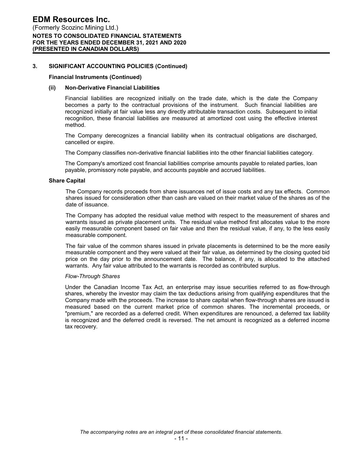#### **Financial Instruments (Continued)**

#### **(ii) Non-Derivative Financial Liabilities**

Financial liabilities are recognized initially on the trade date, which is the date the Company becomes a party to the contractual provisions of the instrument. Such financial liabilities are recognized initially at fair value less any directly attributable transaction costs. Subsequent to initial recognition, these financial liabilities are measured at amortized cost using the effective interest method.

The Company derecognizes a financial liability when its contractual obligations are discharged, cancelled or expire.

The Company classifies non-derivative financial liabilities into the other financial liabilities category.

The Company's amortized cost financial liabilities comprise amounts payable to related parties, loan payable, promissory note payable, and accounts payable and accrued liabilities.

#### **Share Capital**

The Company records proceeds from share issuances net of issue costs and any tax effects. Common shares issued for consideration other than cash are valued on their market value of the shares as of the date of issuance.

The Company has adopted the residual value method with respect to the measurement of shares and warrants issued as private placement units. The residual value method first allocates value to the more easily measurable component based on fair value and then the residual value, if any, to the less easily measurable component.

The fair value of the common shares issued in private placements is determined to be the more easily measurable component and they were valued at their fair value, as determined by the closing quoted bid price on the day prior to the announcement date. The balance, if any, is allocated to the attached warrants. Any fair value attributed to the warrants is recorded as contributed surplus.

#### *Flow-Through Shares*

Under the Canadian Income Tax Act, an enterprise may issue securities referred to as flow-through shares, whereby the investor may claim the tax deductions arising from qualifying expenditures that the Company made with the proceeds. The increase to share capital when flow-through shares are issued is measured based on the current market price of common shares. The incremental proceeds, or "premium," are recorded as a deferred credit. When expenditures are renounced, a deferred tax liability is recognized and the deferred credit is reversed. The net amount is recognized as a deferred income tax recovery.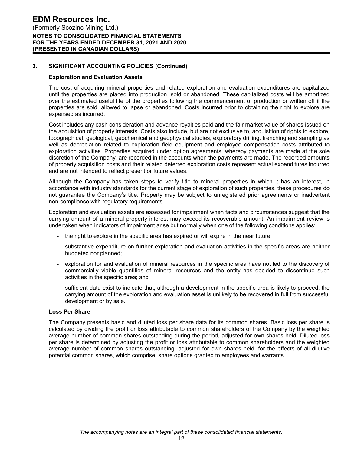#### **Exploration and Evaluation Assets**

The cost of acquiring mineral properties and related exploration and evaluation expenditures are capitalized until the properties are placed into production, sold or abandoned. These capitalized costs will be amortized over the estimated useful life of the properties following the commencement of production or written off if the properties are sold, allowed to lapse or abandoned. Costs incurred prior to obtaining the right to explore are expensed as incurred.

Cost includes any cash consideration and advance royalties paid and the fair market value of shares issued on the acquisition of property interests. Costs also include, but are not exclusive to, acquisition of rights to explore, topographical, geological, geochemical and geophysical studies, exploratory drilling, trenching and sampling as well as depreciation related to exploration field equipment and employee compensation costs attributed to exploration activities. Properties acquired under option agreements, whereby payments are made at the sole discretion of the Company, are recorded in the accounts when the payments are made. The recorded amounts of property acquisition costs and their related deferred exploration costs represent actual expenditures incurred and are not intended to reflect present or future values.

Although the Company has taken steps to verify title to mineral properties in which it has an interest, in accordance with industry standards for the current stage of exploration of such properties, these procedures do not guarantee the Company's title. Property may be subject to unregistered prior agreements or inadvertent non-compliance with regulatory requirements.

Exploration and evaluation assets are assessed for impairment when facts and circumstances suggest that the carrying amount of a mineral property interest may exceed its recoverable amount. An impairment review is undertaken when indicators of impairment arise but normally when one of the following conditions applies:

- the right to explore in the specific area has expired or will expire in the near future;
- substantive expenditure on further exploration and evaluation activities in the specific areas are neither budgeted nor planned;
- exploration for and evaluation of mineral resources in the specific area have not led to the discovery of commercially viable quantities of mineral resources and the entity has decided to discontinue such activities in the specific area; and
- sufficient data exist to indicate that, although a development in the specific area is likely to proceed, the carrying amount of the exploration and evaluation asset is unlikely to be recovered in full from successful development or by sale.

#### **Loss Per Share**

The Company presents basic and diluted loss per share data for its common shares. Basic loss per share is calculated by dividing the profit or loss attributable to common shareholders of the Company by the weighted average number of common shares outstanding during the period, adjusted for own shares held. Diluted loss per share is determined by adjusting the profit or loss attributable to common shareholders and the weighted average number of common shares outstanding, adjusted for own shares held, for the effects of all dilutive potential common shares, which comprise share options granted to employees and warrants.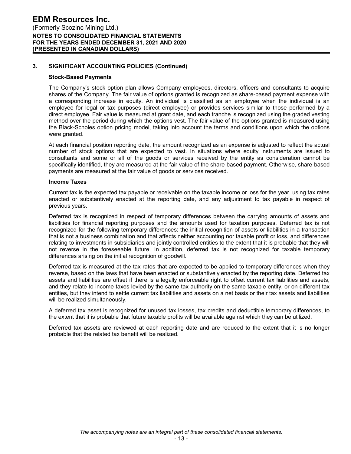#### **Stock-Based Payments**

The Company's stock option plan allows Company employees, directors, officers and consultants to acquire shares of the Company. The fair value of options granted is recognized as share-based payment expense with a corresponding increase in equity. An individual is classified as an employee when the individual is an employee for legal or tax purposes (direct employee) or provides services similar to those performed by a direct employee. Fair value is measured at grant date, and each tranche is recognized using the graded vesting method over the period during which the options vest. The fair value of the options granted is measured using the Black-Scholes option pricing model, taking into account the terms and conditions upon which the options were granted.

At each financial position reporting date, the amount recognized as an expense is adjusted to reflect the actual number of stock options that are expected to vest. In situations where equity instruments are issued to consultants and some or all of the goods or services received by the entity as consideration cannot be specifically identified, they are measured at the fair value of the share-based payment. Otherwise, share-based payments are measured at the fair value of goods or services received.

#### **Income Taxes**

Current tax is the expected tax payable or receivable on the taxable income or loss for the year, using tax rates enacted or substantively enacted at the reporting date, and any adjustment to tax payable in respect of previous years.

Deferred tax is recognized in respect of temporary differences between the carrying amounts of assets and liabilities for financial reporting purposes and the amounts used for taxation purposes. Deferred tax is not recognized for the following temporary differences: the initial recognition of assets or liabilities in a transaction that is not a business combination and that affects neither accounting nor taxable profit or loss, and differences relating to investments in subsidiaries and jointly controlled entities to the extent that it is probable that they will not reverse in the foreseeable future. In addition, deferred tax is not recognized for taxable temporary differences arising on the initial recognition of goodwill.

Deferred tax is measured at the tax rates that are expected to be applied to temporary differences when they reverse, based on the laws that have been enacted or substantively enacted by the reporting date. Deferred tax assets and liabilities are offset if there is a legally enforceable right to offset current tax liabilities and assets, and they relate to income taxes levied by the same tax authority on the same taxable entity, or on different tax entities, but they intend to settle current tax liabilities and assets on a net basis or their tax assets and liabilities will be realized simultaneously.

A deferred tax asset is recognized for unused tax losses, tax credits and deductible temporary differences, to the extent that it is probable that future taxable profits will be available against which they can be utilized.

Deferred tax assets are reviewed at each reporting date and are reduced to the extent that it is no longer probable that the related tax benefit will be realized.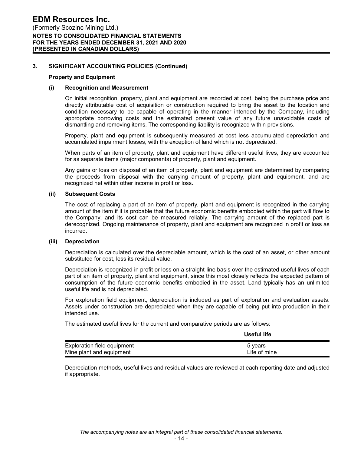#### **Property and Equipment**

#### **(i) Recognition and Measurement**

On initial recognition, property, plant and equipment are recorded at cost, being the purchase price and directly attributable cost of acquisition or construction required to bring the asset to the location and condition necessary to be capable of operating in the manner intended by the Company, including appropriate borrowing costs and the estimated present value of any future unavoidable costs of dismantling and removing items. The corresponding liability is recognized within provisions.

Property, plant and equipment is subsequently measured at cost less accumulated depreciation and accumulated impairment losses, with the exception of land which is not depreciated.

When parts of an item of property, plant and equipment have different useful lives, they are accounted for as separate items (major components) of property, plant and equipment.

Any gains or loss on disposal of an item of property, plant and equipment are determined by comparing the proceeds from disposal with the carrying amount of property, plant and equipment, and are recognized net within other income in profit or loss.

#### **(ii) Subsequent Costs**

The cost of replacing a part of an item of property, plant and equipment is recognized in the carrying amount of the item if it is probable that the future economic benefits embodied within the part will flow to the Company, and its cost can be measured reliably. The carrying amount of the replaced part is derecognized. Ongoing maintenance of property, plant and equipment are recognized in profit or loss as incurred.

#### **(iii) Depreciation**

Depreciation is calculated over the depreciable amount, which is the cost of an asset, or other amount substituted for cost, less its residual value.

Depreciation is recognized in profit or loss on a straight-line basis over the estimated useful lives of each part of an item of property, plant and equipment, since this most closely reflects the expected pattern of consumption of the future economic benefits embodied in the asset. Land typically has an unlimited useful life and is not depreciated.

For exploration field equipment, depreciation is included as part of exploration and evaluation assets. Assets under construction are depreciated when they are capable of being put into production in their intended use.

The estimated useful lives for the current and comparative periods are as follows:

|                                    | Useful life  |
|------------------------------------|--------------|
| <b>Exploration field equipment</b> | 5 years      |
| Mine plant and equipment           | Life of mine |

Depreciation methods, useful lives and residual values are reviewed at each reporting date and adjusted if appropriate.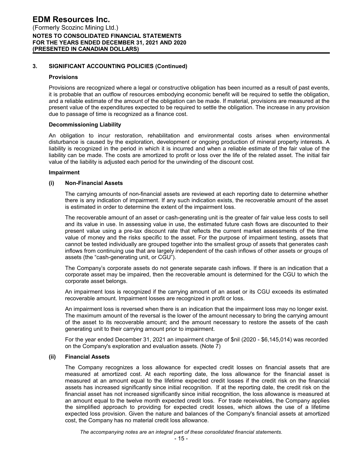#### **Provisions**

Provisions are recognized where a legal or constructive obligation has been incurred as a result of past events, it is probable that an outflow of resources embodying economic benefit will be required to settle the obligation, and a reliable estimate of the amount of the obligation can be made. If material, provisions are measured at the present value of the expenditures expected to be required to settle the obligation. The increase in any provision due to passage of time is recognized as a finance cost.

#### **Decommissioning Liability**

An obligation to incur restoration, rehabilitation and environmental costs arises when environmental disturbance is caused by the exploration, development or ongoing production of mineral property interests. A liability is recognized in the period in which it is incurred and when a reliable estimate of the fair value of the liability can be made. The costs are amortized to profit or loss over the life of the related asset. The initial fair value of the liability is adjusted each period for the unwinding of the discount cost.

#### **Impairment**

#### **(i) Non-Financial Assets**

The carrying amounts of non-financial assets are reviewed at each reporting date to determine whether there is any indication of impairment. If any such indication exists, the recoverable amount of the asset is estimated in order to determine the extent of the impairment loss.

The recoverable amount of an asset or cash-generating unit is the greater of fair value less costs to sell and its value in use. In assessing value in use, the estimated future cash flows are discounted to their present value using a pre-tax discount rate that reflects the current market assessments of the time value of money and the risks specific to the asset. For the purpose of impairment testing, assets that cannot be tested individually are grouped together into the smallest group of assets that generates cash inflows from continuing use that are largely independent of the cash inflows of other assets or groups of assets (the "cash-generating unit, or CGU").

The Company's corporate assets do not generate separate cash inflows. If there is an indication that a corporate asset may be impaired, then the recoverable amount is determined for the CGU to which the corporate asset belongs.

An impairment loss is recognized if the carrying amount of an asset or its CGU exceeds its estimated recoverable amount. Impairment losses are recognized in profit or loss.

An impairment loss is reversed when there is an indication that the impairment loss may no longer exist. The maximum amount of the reversal is the lower of the amount necessary to bring the carrying amount of the asset to its recoverable amount; and the amount necessary to restore the assets of the cash generating unit to their carrying amount prior to impairment.

For the year ended December 31, 2021 an impairment charge of \$nil (2020 - \$6,145,014) was recorded on the Company's exploration and evaluation assets. (Note 7)

#### **(ii) Financial Assets**

The Company recognizes a loss allowance for expected credit losses on financial assets that are measured at amortized cost. At each reporting date, the loss allowance for the financial asset is measured at an amount equal to the lifetime expected credit losses if the credit risk on the financial assets has increased significantly since initial recognition. If at the reporting date, the credit risk on the financial asset has not increased significantly since initial recognition, the loss allowance is measured at an amount equal to the twelve month expected credit loss. For trade receivables, the Company applies the simplified approach to providing for expected credit losses, which allows the use of a lifetime expected loss provision. Given the nature and balances of the Company's financial assets at amortized cost, the Company has no material credit loss allowance.

*The accompanying notes are an integral part of these consolidated financial statements.*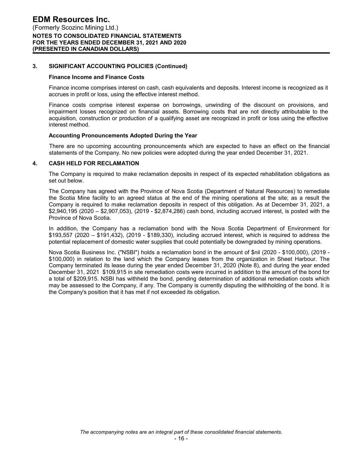#### **Finance Income and Finance Costs**

Finance income comprises interest on cash, cash equivalents and deposits. Interest income is recognized as it accrues in profit or loss, using the effective interest method.

Finance costs comprise interest expense on borrowings, unwinding of the discount on provisions, and impairment losses recognized on financial assets. Borrowing costs that are not directly attributable to the acquisition, construction or production of a qualifying asset are recognized in profit or loss using the effective interest method.

#### **Accounting Pronouncements Adopted During the Year**

There are no upcoming accounting pronouncements which are expected to have an effect on the financial statements of the Company. No new policies were adopted during the year ended December 31, 2021.

#### **4. CASH HELD FOR RECLAMATION**

The Company is required to make reclamation deposits in respect of its expected rehabilitation obligations as set out below.

The Company has agreed with the Province of Nova Scotia (Department of Natural Resources) to remediate the Scotia Mine facility to an agreed status at the end of the mining operations at the site; as a result the Company is required to make reclamation deposits in respect of this obligation. As at December 31, 2021, a \$2,940,195 (2020 – \$2,907,053), (2019 - \$2,874,286) cash bond, including accrued interest, is posted with the Province of Nova Scotia.

In addition, the Company has a reclamation bond with the Nova Scotia Department of Environment for \$193,557 (2020 – \$191,432), (2019 - \$189,330), including accrued interest, which is required to address the potential replacement of domestic water supplies that could potentially be downgraded by mining operations.

Nova Scotia Business Inc. ("NSBI") holds a reclamation bond in the amount of \$nil (2020 - \$100,000), (2019 - \$100,000) in relation to the land which the Company leases from the organization in Sheet Harbour. The Company terminated its lease during the year ended December 31, 2020 (Note 8), and during the year ended December 31, 2021 \$109,915 in site remediation costs were incurred in addition to the amount of the bond for a total of \$209,915. NSBI has withheld the bond, pending determination of additional remediation costs which may be assessed to the Company, if any. The Company is currently disputing the withholding of the bond. It is the Company's position that it has met if not exceeded its obligation.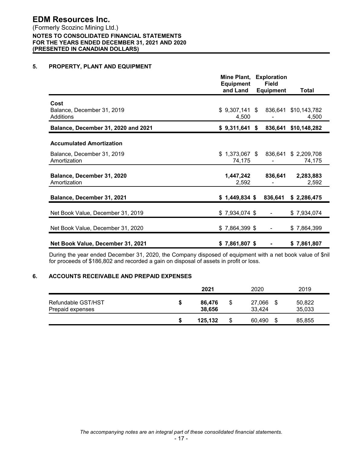# (Formerly Scozinc Mining Ltd.) **NOTES TO CONSOLIDATED FINANCIAL STATEMENTS FOR THE YEARS ENDED DECEMBER 31, 2021 AND 2020 (PRESENTED IN CANADIAN DOLLARS)**

# **5. PROPERTY, PLANT AND EQUIPMENT**

|                                                 | Mine Plant,<br><b>Equipment</b> | <b>Exploration</b><br><b>Field</b> |                               |
|-------------------------------------------------|---------------------------------|------------------------------------|-------------------------------|
|                                                 | and Land                        | <b>Equipment</b>                   | Total                         |
| Cost<br>Balance, December 31, 2019<br>Additions | $$9,307,141$ \$<br>4,500        |                                    | 836,641 \$10,143,782<br>4,500 |
| Balance, December 31, 2020 and 2021             | \$9,311,641                     | 836,641<br>-S                      | \$10,148,282                  |
| <b>Accumulated Amortization</b>                 |                                 |                                    |                               |
| Balance, December 31, 2019<br>Amortization      | $$1,373,067$ \$<br>74,175       | 836,641                            | \$2,209,708<br>74,175         |
| Balance, December 31, 2020<br>Amortization      | 1,447,242<br>2,592              | 836,641                            | 2,283,883<br>2,592            |
| Balance, December 31, 2021                      | $$1,449,834$ \$                 | 836,641                            | \$2,286,475                   |
| Net Book Value, December 31, 2019               | $$7,934,074$ \$                 |                                    | \$7,934,074                   |
| Net Book Value, December 31, 2020               | $$7,864,399$ \$                 |                                    | \$7,864,399                   |
| Net Book Value, December 31, 2021               | $$7,861,807$ \$                 |                                    | \$7,861,807                   |

During the year ended December 31, 2020, the Company disposed of equipment with a net book value of \$nil for proceeds of \$186,802 and recorded a gain on disposal of assets in profit or loss.

# **6. ACCOUNTS RECEIVABLE AND PREPAID EXPENSES**

|                                        | 2021             | 2020                          | 2019             |
|----------------------------------------|------------------|-------------------------------|------------------|
| Refundable GST/HST<br>Prepaid expenses | 86,476<br>38,656 | \$<br>27,066<br>-\$<br>33,424 | 50,822<br>35,033 |
|                                        | 125,132          | \$<br>60,490<br>\$            | 85,855           |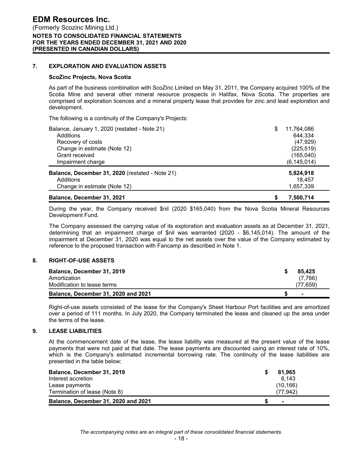# **7. EXPLORATION AND EVALUATION ASSETS**

#### **ScoZinc Projects, Nova Scotia**

As part of the business combination with ScoZinc Limited on May 31, 2011, the Company acquired 100% of the Scotia Mine and several other mineral resource prospects in Halifax, Nova Scotia. The properties are comprised of exploration licences and a mineral property lease that provides for zinc and lead exploration and development.

The following is a continuity of the Company's Projects:

| Balance, January 1, 2020 (restated - Note 21)   | \$ | 11,764,086    |
|-------------------------------------------------|----|---------------|
| Additions                                       |    | 644,334       |
| Recovery of costs                               |    | (47, 929)     |
| Change in estimate (Note 12)                    |    | (225, 519)    |
| Grant received                                  |    | (165, 040)    |
| Impairment charge                               |    | (6, 145, 014) |
| Balance, December 31, 2020 (restated - Note 21) |    | 5,824,918     |
| Additions                                       |    | 18.457        |
| Change in estimate (Note 12)                    |    | 1,657,339     |
| Balance, December 31, 2021                      | S  | 7,500,714     |

During the year, the Company received \$nil (2020 \$165,040) from the Nova Scotia Mineral Resources Development Fund.

The Company assessed the carrying value of its exploration and evaluation assets as at December 31, 2021, determining that an impairment charge of \$nil was warranted (2020 - \$6,145,014). The amount of the impairment at December 31, 2020 was equal to the net assets over the value of the Company estimated by reference to the proposed transaction with Fancamp as described in Note 1.

#### **8. RIGHT-OF-USE ASSETS**

| Balance, December 31, 2019<br>Amortization | 85.425<br>(7.766) |
|--------------------------------------------|-------------------|
| Modification to lease terms                | (77.659)          |
| Balance, December 31, 2020 and 2021        | $\blacksquare$    |

Right-of-use assets consisted of the lease for the Company's Sheet Harbour Port facilities and are amortized over a period of 111 months. In July 2020, the Company terminated the lease and cleaned up the area under the terms of the lease.

# **9. LEASE LIABILITIES**

At the commencement date of the lease, the lease liability was measured at the present value of the lease payments that were not paid at that date. The lease payments are discounted using an interest rate of 10%, which is the Company's estimated incremental borrowing rate. The continuity of the lease liabilities are presented in the table below:

| Balance, December 31, 2019          | 81.965         |
|-------------------------------------|----------------|
| Interest accretion                  | 6.143          |
| Lease payments                      | (10, 166)      |
| Termination of lease (Note 8)       | (77.942)       |
| Balance, December 31, 2020 and 2021 | $\blacksquare$ |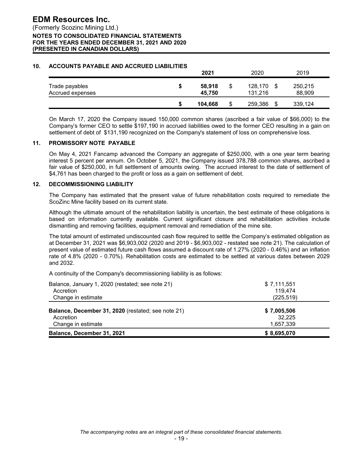#### **10. ACCOUNTS PAYABLE AND ACCRUED LIABILITIES**

|                                    | 2021             |    | 2020               | 2019                    |  |
|------------------------------------|------------------|----|--------------------|-------------------------|--|
| Trade payables<br>Accrued expenses | 58,918<br>45.750 | \$ | 128,170<br>131.216 | \$<br>250,215<br>88,909 |  |
|                                    | 104.668          | S  | 259,386            | \$<br>339,124           |  |

On March 17, 2020 the Company issued 150,000 common shares (ascribed a fair value of \$66,000) to the Company's former CEO to settle \$197,190 in accrued liabilities owed to the former CEO resulting in a gain on settlement of debt of \$131,190 recognized on the Company's statement of loss on comprehensive loss.

#### **11. PROMISSORY NOTE PAYABLE**

On May 4, 2021 Fancamp advanced the Company an aggregate of \$250,000, with a one year term bearing interest 5 percent per annum. On October 5, 2021, the Company issued 378,788 common shares, ascribed a fair value of \$250,000, in full settlement of amounts owing. The accrued interest to the date of settlement of \$4,761 has been charged to the profit or loss as a gain on settlement of debt.

#### **12. DECOMMISSIONING LIABILITY**

The Company has estimated that the present value of future rehabilitation costs required to remediate the ScoZinc Mine facility based on its current state.

Although the ultimate amount of the rehabilitation liability is uncertain, the best estimate of these obligations is based on information currently available. Current significant closure and rehabilitation activities include dismantling and removing facilities, equipment removal and remediation of the mine site.

The total amount of estimated undiscounted cash flow required to settle the Company's estimated obligation as at December 31, 2021 was \$6,903,002 (2020 and 2019 - \$6,903,002 - restated see note 21). The calculation of present value of estimated future cash flows assumed a discount rate of 1.27% (2020 - 0.46%) and an inflation rate of 4.8% (2020 - 0.70%). Rehabilitation costs are estimated to be settled at various dates between 2029 and 2032.

A continuity of the Company's decommissioning liability is as follows:

| Balance, January 1, 2020 (restated; see note 21)   | \$7,111,551 |
|----------------------------------------------------|-------------|
| Accretion                                          | 119.474     |
| Change in estimate                                 | (225, 519)  |
| Balance, December 31, 2020 (restated; see note 21) | \$7,005,506 |
| Accretion                                          | 32,225      |
| Change in estimate                                 | 1,657,339   |
| Balance, December 31, 2021                         | \$8,695,070 |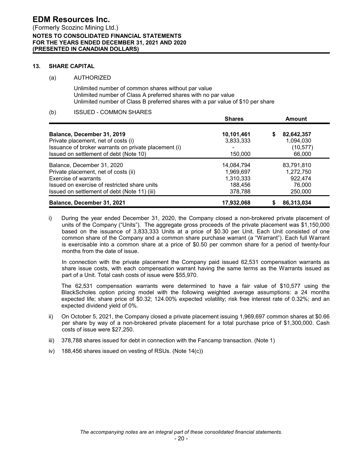#### **13. SHARE CAPITAL**

#### (a) AUTHORIZED

Unlimited number of common shares without par value Unlimited number of Class A preferred shares with no par value Unlimited number of Class B preferred shares with a par value of \$10 per share

# (b) ISSUED - COMMON SHARES

|                                                      | vuu və     | мнучн           |
|------------------------------------------------------|------------|-----------------|
| Balance, December 31, 2019                           | 10,101,461 | 82,642,357<br>S |
| Private placement, net of costs (i)                  | 3,833,333  | 1,094,030       |
| Issuance of broker warrants on private placement (i) |            | (10, 577)       |
| Issued on settlement of debt (Note 10)               | 150,000    | 66,000          |
| Balance, December 31, 2020                           | 14,084,794 | 83,791,810      |
| Private placement, net of costs (ii)                 | 1,969,697  | 1,272,750       |
| Exercise of warrants                                 | 1,310,333  | 922.474         |
| Issued on exercise of restricted share units         | 188,456    | 76,000          |
| Issued on settlement of debt (Note 11) (iii)         | 378,788    | 250,000         |
| Balance, December 31, 2021                           | 17,932,068 | 86,313,034      |

**Shares Amount**

i) During the year ended December 31, 2020, the Company closed a non-brokered private placement of units of the Company ("Units"). The aggregate gross proceeds of the private placement was \$1,150,000 based on the issuance of 3,833,333 Units at a price of \$0.30 per Unit. Each Unit consisted of one common share of the Company and a common share purchase warrant (a "Warrant"). Each full Warrant is exercisable into a common share at a price of \$0.50 per common share for a period of twenty-four months from the date of issue.

In connection with the private placement the Company paid issued 62,531 compensation warrants as share issue costs, with each compensation warrant having the same terms as the Warrants issued as part of a Unit. Total cash costs of issue were \$55,970.

The 62,531 compensation warrants were determined to have a fair value of \$10,577 using the BlackScholes option pricing model with the following weighted average assumptions: a 24 months expected life; share price of \$0.32; 124.00% expected volatility; risk free interest rate of 0.32%; and an expected dividend yield of 0%.

- ii) On October 5, 2021, the Company closed a private placement issuing 1,969,697 common shares at \$0.66 per share by way of a non-brokered private placement for a total purchase price of \$1,300,000. Cash costs of issue were \$27,250.
- iii) 378,788 shares issued for debt in connection with the Fancamp transaction. (Note 1)
- iv) 188,456 shares issued on vesting of RSUs. (Note 14(c))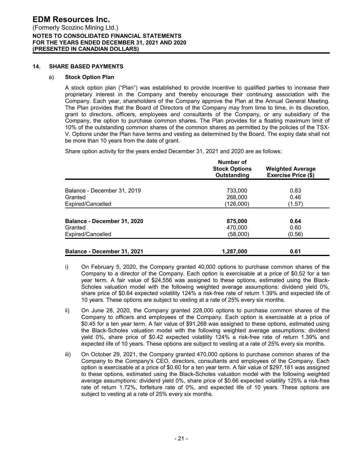#### **14. SHARE BASED PAYMENTS**

#### a) **Stock Option Plan**

A stock option plan ("Plan") was established to provide incentive to qualified parties to increase their proprietary interest in the Company and thereby encourage their continuing association with the Company. Each year, shareholders of the Company approve the Plan at the Annual General Meeting. The Plan provides that the Board of Directors of the Company may from time to time, in its discretion, grant to directors, officers, employees and consultants of the Company, or any subsidiary of the Company, the option to purchase common shares. The Plan provides for a floating maximum limit of 10% of the outstanding common shares of the common shares as permitted by the policies of the TSX-V. Options under the Plan have terms and vesting as determined by the Board. The expiry date shall not be more than 10 years from the date of grant.

Share option activity for the years ended December 31, 2021 and 2020 are as follows:

|                             | Number of<br><b>Stock Options</b><br>Outstanding | <b>Weighted Average</b><br><b>Exercise Price (\$)</b> |
|-----------------------------|--------------------------------------------------|-------------------------------------------------------|
| Balance - December 31, 2019 | 733,000                                          | 0.83                                                  |
| Granted                     | 268,000                                          | 0.46                                                  |
| Expired/Cancelled           | (126,000)                                        | (1.57)                                                |
|                             |                                                  |                                                       |
| Balance - December 31, 2020 | 875,000                                          | 0.64                                                  |
| Granted                     | 470.000                                          | 0.60                                                  |
| Expired/Cancelled           | (58,000)                                         | (0.56)                                                |
|                             |                                                  |                                                       |
| Balance - December 31, 2021 | 1.287.000                                        | 0.61                                                  |

| On February 5, 2020, the Company granted 40,000 options to purchase common shares of the             |
|------------------------------------------------------------------------------------------------------|
| Company to a director of the Company. Each option is exercisable at a price of \$0.52 for a ten      |
| year term. A fair value of \$24,556 was assigned to these options, estimated using the Black-        |
| Scholes valuation model with the following weighted average assumptions: dividend yield 0%,          |
| share price of \$0.64 expected volatility 124% a risk-free rate of return 1.39% and expected life of |
| 10 years. These options are subject to vesting at a rate of 25% every six months.                    |

- ii) On June 28, 2020, the Company granted 228,000 options to purchase common shares of the Company to officers and employees of the Company. Each option is exercisable at a price of \$0.45 for a ten year term. A fair value of \$91,268 was assigned to these options, estimated using the Black-Scholes valuation model with the following weighted average assumptions: dividend yield 0%, share price of \$0.42 expected volatility 124% a risk-free rate of return 1.39% and expected life of 10 years. These options are subject to vesting at a rate of 25% every six months.
- iii) On October 29, 2021, the Company granted 470,000 options to purchase common shares of the Company to the Company's CEO, directors, consultants and employees of the Company. Each option is exercisable at a price of \$0.60 for a ten year term. A fair value of \$297,181 was assigned to these options, estimated using the Black-Scholes valuation model with the following weighted average assumptions: dividend yield 0%, share price of \$0.66 expected volatility 125% a risk-free rate of return 1.72%, forfeiture rate of 0%, and expected life of 10 years. These options are subject to vesting at a rate of 25% every six months.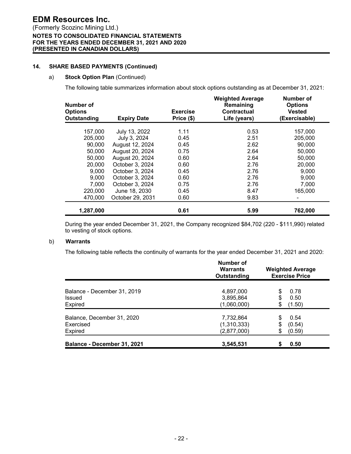# **14. SHARE BASED PAYMENTS (Continued)**

#### a) **Stock Option Plan** (Continued)

The following table summarizes information about stock options outstanding as at December 31, 2021:

| Number of<br><b>Options</b><br>Outstanding | <b>Expiry Date</b> | <b>Exercise</b><br>Price (\$) | <b>Weighted Average</b><br>Remaining<br>Contractual<br>Life (years) | <b>Number of</b><br><b>Options</b><br><b>Vested</b><br>(Exercisable) |
|--------------------------------------------|--------------------|-------------------------------|---------------------------------------------------------------------|----------------------------------------------------------------------|
| 157,000                                    | July 13, 2022      | 1.11                          | 0.53                                                                | 157,000                                                              |
| 205,000                                    | July 3, 2024       | 0.45                          | 2.51                                                                | 205,000                                                              |
| 90,000                                     | August 12, 2024    | 0.45                          | 2.62                                                                | 90,000                                                               |
| 50,000                                     | August 20, 2024    | 0.75                          | 2.64                                                                | 50,000                                                               |
| 50,000                                     | August 20, 2024    | 0.60                          | 2.64                                                                | 50,000                                                               |
| 20,000                                     | October 3, 2024    | 0.60                          | 2.76                                                                | 20,000                                                               |
| 9,000                                      | October 3, 2024    | 0.45                          | 2.76                                                                | 9,000                                                                |
| 9,000                                      | October 3, 2024    | 0.60                          | 2.76                                                                | 9,000                                                                |
| 7,000                                      | October 3, 2024    | 0.75                          | 2.76                                                                | 7,000                                                                |
| 220,000                                    | June 18, 2030      | 0.45                          | 8.47                                                                | 165,000                                                              |
| 470,000                                    | October 29, 2031   | 0.60                          | 9.83                                                                |                                                                      |
| 1,287,000                                  |                    | 0.61                          | 5.99                                                                | 762,000                                                              |

During the year ended December 31, 2021, the Company recognized \$84,702 (220 - \$111,990) related to vesting of stock options.

#### b) **Warrants**

The following table reflects the continuity of warrants for the year ended December 31, 2021 and 2020:

|                             | Number of<br><b>Warrants</b><br>Outstanding |    | <b>Weighted Average</b><br><b>Exercise Price</b> |
|-----------------------------|---------------------------------------------|----|--------------------------------------------------|
| Balance - December 31, 2019 | 4,897,000                                   | \$ | 0.78                                             |
| Issued                      | 3,895,864                                   | S  | 0.50                                             |
| Expired                     | (1,060,000)                                 | \$ | (1.50)                                           |
| Balance, December 31, 2020  | 7,732,864                                   | \$ | 0.54                                             |
| Exercised                   | (1,310,333)                                 | \$ | (0.54)                                           |
| Expired                     | (2,877,000)                                 | \$ | (0.59)                                           |
| Balance - December 31, 2021 | 3,545,531                                   | S  | 0.50                                             |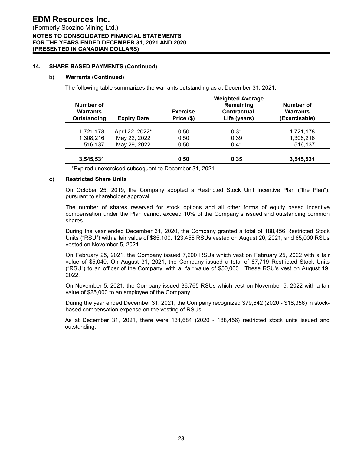#### **14. SHARE BASED PAYMENTS (Continued)**

#### b) **Warrants (Continued)**

The following table summarizes the warrants outstanding as at December 31, 2021:

|                                             |                    |                               | <b>Weighted Average</b>                  |                                               |
|---------------------------------------------|--------------------|-------------------------------|------------------------------------------|-----------------------------------------------|
| Number of<br><b>Warrants</b><br>Outstanding | <b>Expiry Date</b> | <b>Exercise</b><br>Price (\$) | Remaining<br>Contractual<br>Life (years) | Number of<br><b>Warrants</b><br>(Exercisable) |
| 1,721,178                                   | April 22, 2022*    | 0.50                          | 0.31                                     | 1,721,178                                     |
| 1,308,216                                   | May 22, 2022       | 0.50                          | 0.39                                     | 1,308,216                                     |
| 516,137                                     | May 29, 2022       | 0.50                          | 0.41                                     | 516,137                                       |
| 3,545,531                                   |                    | 0.50                          | 0.35                                     | 3,545,531                                     |

\*Expired unexercised subsequent to December 31, 2021

#### **c**) **Restricted Share Units**

On October 25, 2019, the Company adopted a Restricted Stock Unit Incentive Plan ("the Plan"), pursuant to shareholder approval.

The number of shares reserved for stock options and all other forms of equity based incentive compensation under the Plan cannot exceed 10% of the Company`s issued and outstanding common shares.

During the year ended December 31, 2020, the Company granted a total of 188,456 Restricted Stock Units ("RSU") with a fair value of \$85,100. 123,456 RSUs vested on August 20, 2021, and 65,000 RSUs vested on November 5, 2021.

On February 25, 2021, the Company issued 7,200 RSUs which vest on February 25, 2022 with a fair value of \$5,040. On August 31, 2021, the Company issued a total of 87,719 Restricted Stock Units ("RSU") to an officer of the Company, with a fair value of \$50,000. These RSU's vest on August 19, 2022.

On November 5, 2021, the Company issued 36,765 RSUs which vest on November 5, 2022 with a fair value of \$25,000 to an employee of the Company.

During the year ended December 31, 2021, the Company recognized \$79,642 (2020 - \$18,356) in stockbased compensation expense on the vesting of RSUs.

As at December 31, 2021, there were 131,684 (2020 - 188,456) restricted stock units issued and outstanding.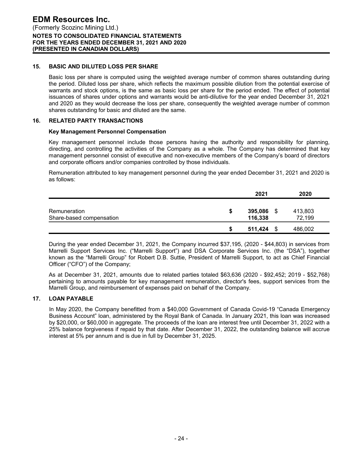# **15. BASIC AND DILUTED LOSS PER SHARE**

Basic loss per share is computed using the weighted average number of common shares outstanding during the period. Diluted loss per share, which reflects the maximum possible dilution from the potential exercise of warrants and stock options, is the same as basic loss per share for the period ended. The effect of potential issuances of shares under options and warrants would be anti-dilutive for the year ended December 31, 2021 and 2020 as they would decrease the loss per share, consequently the weighted average number of common shares outstanding for basic and diluted are the same.

# **16. RELATED PARTY TRANSACTIONS**

#### **Key Management Personnel Compensation**

Key management personnel include those persons having the authority and responsibility for planning, directing, and controlling the activities of the Company as a whole. The Company has determined that key management personnel consist of executive and non-executive members of the Company's board of directors and corporate officers and/or companies controlled by those individuals.

Remuneration attributed to key management personnel during the year ended December 31, 2021 and 2020 is as follows:

|                                          |    | 2021               |     | 2020              |
|------------------------------------------|----|--------------------|-----|-------------------|
| Remuneration<br>Share-based compensation | \$ | 395,086<br>116,338 | -\$ | 413,803<br>72,199 |
|                                          | S  | 511,424            | -\$ | 486,002           |

During the year ended December 31, 2021, the Company incurred \$37,195, (2020 - \$44,803) in services from Marrelli Support Services Inc. ("Marrelli Support") and DSA Corporate Services Inc. (the "DSA"), together known as the "Marrelli Group" for Robert D.B. Suttie, President of Marrelli Support, to act as Chief Financial Officer ("CFO") of the Company;

As at December 31, 2021, amounts due to related parties totaled \$63,636 (2020 - \$92,452; 2019 - \$52,768) pertaining to amounts payable for key management remuneration, director's fees, support services from the Marrelli Group, and reimbursement of expenses paid on behalf of the Company.

#### **17. LOAN PAYABLE**

In May 2020, the Company benefitted from a \$40,000 Government of Canada Covid-19 "Canada Emergency Business Account" loan, administered by the Royal Bank of Canada. In January 2021, this loan was increased by \$20,000, or \$60,000 in aggregate. The proceeds of the loan are interest free until December 31, 2022 with a 25% balance forgiveness if repaid by that date. After December 31, 2022, the outstanding balance will accrue interest at 5% per annum and is due in full by December 31, 2025.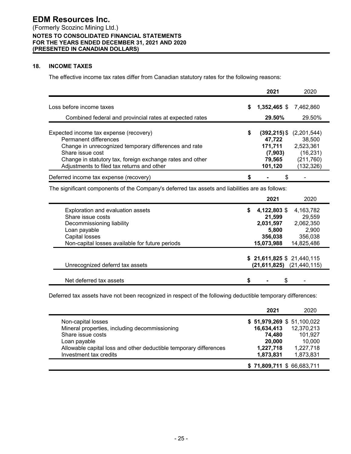# **18. INCOME TAXES**

The effective income tax rates differ from Canadian statutory rates for the following reasons:

|                                                           |    | 2021            | 2020        |
|-----------------------------------------------------------|----|-----------------|-------------|
| Loss before income taxes                                  | \$ | 1,352,465 \$    | 7.462.860   |
| Combined federal and provincial rates at expected rates   |    | 29.50%          | 29.50%      |
| Expected income tax expense (recovery)                    | S  | $(392, 215)$ \$ | (2,201,544) |
| Permanent differences                                     |    | 47,722          | 38,500      |
| Change in unrecognized temporary differences and rate     |    | 171,711         | 2,523,361   |
| Share issue cost                                          |    | (7,903)         | (16, 231)   |
| Change in statutory tax, foreign exchange rates and other |    | 79.565          | (211, 760)  |
| Adjustments to filed tax returns and other                |    | 101,120         | (132, 326)  |
| Deferred income tax expense (recovery)                    |    |                 |             |

The significant components of the Company's deferred tax assets and liabilities are as follows:

|                                                 | 2021<br>2020                  |
|-------------------------------------------------|-------------------------------|
| Exploration and evaluation assets               | 4,122,803 \$<br>4,163,782     |
| Share issue costs                               | 29,559<br>21,599              |
| Decommissioning liability                       | 2,062,350<br>2,031,597        |
| Loan payable                                    | 2,900<br>5.800                |
| Capital losses                                  | 356,038<br>356,038            |
| Non-capital losses available for future periods | 14,825,486<br>15,073,988      |
|                                                 | $$21,611,825$ \$21,440,115    |
| Unrecognized deferrd tax assets                 | $(21,611,825)$ $(21,440,115)$ |
|                                                 |                               |
| Net deferred tax assets                         | \$                            |

Deferred tax assets have not been recognized in respect of the following deductible temporary differences:

|                                                                   | 2021                        | 2020       |
|-------------------------------------------------------------------|-----------------------------|------------|
| Non-capital losses                                                | \$ 51,979,269 \$ 51,100,022 |            |
| Mineral properties, including decommissioning                     | 16,634,413                  | 12,370,213 |
| Share issue costs                                                 | 74,480                      | 101,927    |
| Loan payable                                                      | 20,000                      | 10.000     |
| Allowable capital loss and other deductible temporary differences | 1,227,718                   | 1,227,718  |
| Investment tax credits                                            | 1,873,831                   | 1,873,831  |
|                                                                   | $$71,809,711$ \$66,683,711  |            |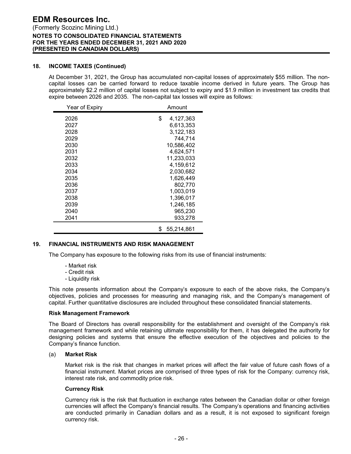# **EDM Resources Inc.** (Formerly Scozinc Mining Ltd.) **NOTES TO CONSOLIDATED FINANCIAL STATEMENTS FOR THE YEARS ENDED DECEMBER 31, 2021 AND 2020 (PRESENTED IN CANADIAN DOLLARS)**

# **18. INCOME TAXES (Continued)**

At December 31, 2021, the Group has accumulated non-capital losses of approximately \$55 million. The noncapital losses can be carried forward to reduce taxable income derived in future years. The Group has approximately \$2.2 million of capital losses not subject to expiry and \$1.9 million in investment tax credits that expire between 2026 and 2035. The non-capital tax losses will expire as follows:

| Year of Expiry | Amount           |  |  |
|----------------|------------------|--|--|
| 2026<br>2027   | \$<br>4,127,363  |  |  |
| 2028           | 6,613,353        |  |  |
| 2029           | 3,122,183        |  |  |
| 2030           | 744,714          |  |  |
|                | 10,586,402       |  |  |
| 2031           | 4,624,571        |  |  |
| 2032           | 11,233,033       |  |  |
| 2033           | 4.159.612        |  |  |
| 2034           | 2,030,682        |  |  |
| 2035           | 1,626,449        |  |  |
| 2036           | 802,770          |  |  |
| 2037           | 1,003,019        |  |  |
| 2038           | 1,396,017        |  |  |
| 2039           | 1,246,185        |  |  |
| 2040           | 965,230          |  |  |
| 2041           | 933,278          |  |  |
|                | 55.214.861<br>\$ |  |  |

# **19. FINANCIAL INSTRUMENTS AND RISK MANAGEMENT**

The Company has exposure to the following risks from its use of financial instruments:

- Market risk
- Credit risk
- Liquidity risk

This note presents information about the Company's exposure to each of the above risks, the Company's objectives, policies and processes for measuring and managing risk, and the Company's management of capital. Further quantitative disclosures are included throughout these consolidated financial statements.

#### **Risk Management Framework**

The Board of Directors has overall responsibility for the establishment and oversight of the Company's risk management framework and while retaining ultimate responsibility for them, it has delegated the authority for designing policies and systems that ensure the effective execution of the objectives and policies to the Company's finance function.

#### (a) **Market Risk**

Market risk is the risk that changes in market prices will affect the fair value of future cash flows of a financial instrument. Market prices are comprised of three types of risk for the Company: currency risk, interest rate risk, and commodity price risk.

#### **Currency Risk**

Currency risk is the risk that fluctuation in exchange rates between the Canadian dollar or other foreign currencies will affect the Company's financial results. The Company's operations and financing activities are conducted primarily in Canadian dollars and as a result, it is not exposed to significant foreign currency risk.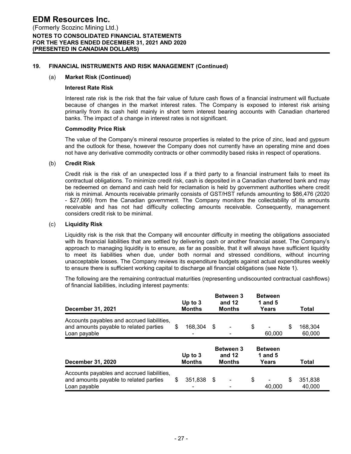#### **19. FINANCIAL INSTRUMENTS AND RISK MANAGEMENT (Continued)**

#### (a) **Market Risk (Continued)**

#### **Interest Rate Risk**

Interest rate risk is the risk that the fair value of future cash flows of a financial instrument will fluctuate because of changes in the market interest rates. The Company is exposed to interest risk arising primarily from its cash held mainly in short term interest bearing accounts with Canadian chartered banks. The impact of a change in interest rates is not significant.

#### **Commodity Price Risk**

The value of the Company's mineral resource properties is related to the price of zinc, lead and gypsum and the outlook for these, however the Company does not currently have an operating mine and does not have any derivative commodity contracts or other commodity based risks in respect of operations.

#### (b) **Credit Risk**

Credit risk is the risk of an unexpected loss if a third party to a financial instrument fails to meet its contractual obligations. To minimize credit risk, cash is deposited in a Canadian chartered bank and may be redeemed on demand and cash held for reclamation is held by government authorities where credit risk is minimal. Amounts receivable primarily consists of GST/HST refunds amounting to \$86,476 (2020 - \$27,066) from the Canadian government. The Company monitors the collectability of its amounts receivable and has not had difficulty collecting amounts receivable. Consequently, management considers credit risk to be minimal.

#### (c) **Liquidity Risk**

Liquidity risk is the risk that the Company will encounter difficulty in meeting the obligations associated with its financial liabilities that are settled by delivering cash or another financial asset. The Company's approach to managing liquidity is to ensure, as far as possible, that it will always have sufficient liquidity to meet its liabilities when due, under both normal and stressed conditions, without incurring unacceptable losses. The Company reviews its expenditure budgets against actual expenditures weekly to ensure there is sufficient working capital to discharge all financial obligations (see Note 1).

The following are the remaining contractual maturities (representing undiscounted contractual cashflows) of financial liabilities, including interest payments:

| <b>December 31, 2021</b>                                                                             | Up to $3$<br><b>Months</b> | <b>Between 3</b><br>and 12<br><b>Months</b> | <b>Between</b><br>1 and $5$<br>Years |   | Total             |  |
|------------------------------------------------------------------------------------------------------|----------------------------|---------------------------------------------|--------------------------------------|---|-------------------|--|
| Accounts payables and accrued liabilities,<br>and amounts payable to related parties<br>Loan payable | \$<br>168,304              | \$<br>۰                                     | \$<br>60,000                         | S | 168,304<br>60,000 |  |
|                                                                                                      | Up to $3$                  | <b>Between 3</b><br>and $12$                | <b>Between</b><br>1 and $5$          |   | Total             |  |
| <b>December 31, 2020</b>                                                                             | <b>Months</b>              | <b>Months</b>                               | Years                                |   |                   |  |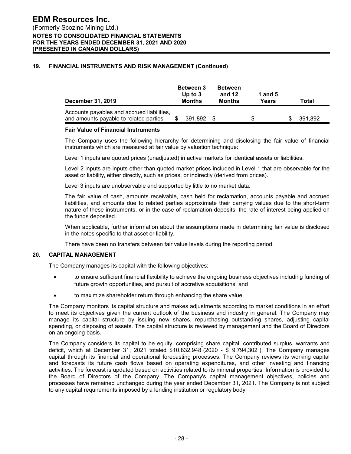# **19. FINANCIAL INSTRUMENTS AND RISK MANAGEMENT (Continued)**

| December 31, 2019                                                                    | <b>Between 3</b><br>Up to $3$<br><b>Months</b> |            | <b>Between</b><br>and 12<br>Months |  | 1 and $5$<br>Years |  | Total   |  |  |
|--------------------------------------------------------------------------------------|------------------------------------------------|------------|------------------------------------|--|--------------------|--|---------|--|--|
| Accounts payables and accrued liabilities,<br>and amounts payable to related parties |                                                | 391.892 \$ | $\sim$                             |  | $\blacksquare$     |  | 391.892 |  |  |

#### **Fair Value of Financial Instruments**

The Company uses the following hierarchy for determining and disclosing the fair value of financial instruments which are measured at fair value by valuation technique:

Level 1 inputs are quoted prices (unadjusted) in active markets for identical assets or liabilities.

Level 2 inputs are inputs other than quoted market prices included in Level 1 that are observable for the asset or liability, either directly, such as prices, or indirectly (derived from prices).

Level 3 inputs are unobservable and supported by little to no market data.

The fair value of cash, amounts receivable, cash held for reclamation, accounts payable and accrued liabilities, and amounts due to related parties approximate their carrying values due to the short-term nature of these instruments, or in the case of reclamation deposits, the rate of interest being applied on the funds deposited.

When applicable, further information about the assumptions made in determining fair value is disclosed in the notes specific to that asset or liability.

There have been no transfers between fair value levels during the reporting period.

#### **20. CAPITAL MANAGEMENT**

The Company manages its capital with the following objectives:

- to ensure sufficient financial flexibility to achieve the ongoing business objectives including funding of future growth opportunities, and pursuit of accretive acquisitions; and
- to maximize shareholder return through enhancing the share value.

The Company monitors its capital structure and makes adjustments according to market conditions in an effort to meet its objectives given the current outlook of the business and industry in general. The Company may manage its capital structure by issuing new shares, repurchasing outstanding shares, adjusting capital spending, or disposing of assets. The capital structure is reviewed by management and the Board of Directors on an ongoing basis.

The Company considers its capital to be equity, comprising share capital, contributed surplus, warrants and deficit, which at December 31, 2021 totaled \$10,832,948 (2020 - \$ 9,794,302 ). The Company manages capital through its financial and operational forecasting processes. The Company reviews its working capital and forecasts its future cash flows based on operating expenditures, and other investing and financing activities. The forecast is updated based on activities related to its mineral properties. Information is provided to the Board of Directors of the Company. The Company's capital management objectives, policies and processes have remained unchanged during the year ended December 31, 2021. The Company is not subject to any capital requirements imposed by a lending institution or regulatory body.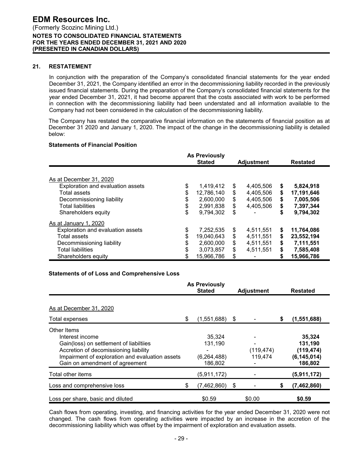#### **21. RESTATEMENT**

In conjunction with the preparation of the Company's consolidated financial statements for the year ended December 31, 2021, the Company identified an error in the decommissioning liability recorded in the previously issued financial statements. During the preparation of the Company's consolidated financial statements for the year ended December 31, 2021, it had become apparent that the costs associated with work to be performed in connection with the decommissioning liability had been understated and all information available to the Company had not been considered in the calculation of the decommissioning liability.

The Company has restated the comparative financial information on the statements of financial position as at December 31 2020 and January 1, 2020. The impact of the change in the decommissioning liability is detailed below:

# **Statements of Financial Position**

|                                   | <b>As Previously</b><br><b>Stated</b><br><b>Adjustment</b> |    | <b>Restated</b> |    |            |
|-----------------------------------|------------------------------------------------------------|----|-----------------|----|------------|
|                                   |                                                            |    |                 |    |            |
| As at December 31, 2020           |                                                            |    |                 |    |            |
| Exploration and evaluation assets | \$<br>1,419,412                                            | \$ | 4,405,506       | \$ | 5,824,918  |
| Total assets                      | \$<br>12,786,140                                           | \$ | 4,405,506       | \$ | 17,191,646 |
| Decommissioning liability         | \$<br>2,600,000                                            | \$ | 4,405,506       | \$ | 7,005,506  |
| <b>Total liabilities</b>          | \$<br>2,991,838                                            | \$ | 4,405,506       | \$ | 7,397,344  |
| Shareholders equity               | \$<br>9,794,302                                            | \$ |                 | \$ | 9,794,302  |
| As at January 1, 2020             |                                                            |    |                 |    |            |
| Exploration and evaluation assets | \$<br>7,252,535                                            | \$ | 4,511,551       | \$ | 11,764,086 |
| <b>Total assets</b>               | \$<br>19,040,643                                           | \$ | 4,511,551       | \$ | 23,552,194 |
| Decommissioning liability         | \$<br>2,600,000                                            | \$ | 4,511,551       | \$ | 7,111,551  |
| <b>Total liabilities</b>          | \$<br>3,073,857                                            | \$ | 4,511,551       | \$ | 7,585,408  |
| Shareholders equity               | 15,966,786                                                 | \$ |                 | \$ | 15,966,786 |

#### **Statements of of Loss and Comprehensive Loss**

|                                                                                                                                                                                                         | <b>As Previously</b><br><b>Stated</b> |                                               |    | <b>Adjustment</b>     | <b>Restated</b> |                                                             |  |
|---------------------------------------------------------------------------------------------------------------------------------------------------------------------------------------------------------|---------------------------------------|-----------------------------------------------|----|-----------------------|-----------------|-------------------------------------------------------------|--|
| As at December 31, 2020                                                                                                                                                                                 |                                       |                                               |    |                       |                 |                                                             |  |
| Total expenses                                                                                                                                                                                          | \$                                    | $(1,551,688)$ \$                              |    |                       | \$              | (1,551,688)                                                 |  |
| Other Items<br>Interest income<br>Gain(loss) on settlement of liabiltiies<br>Accretion of decomissioning liability<br>Impairment of exploration and evaluation assets<br>Gain on amendment of agreement |                                       | 35,324<br>131,190<br>(6, 264, 488)<br>186,802 |    | (119, 474)<br>119,474 |                 | 35,324<br>131,190<br>(119, 474)<br>(6, 145, 014)<br>186,802 |  |
| Total other items                                                                                                                                                                                       |                                       | (5,911,172)                                   |    |                       |                 | (5,911,172)                                                 |  |
| Loss and comprehensive loss                                                                                                                                                                             | \$                                    | (7,462,860)                                   | \$ |                       | S               | (7, 462, 860)                                               |  |
| Loss per share, basic and diluted                                                                                                                                                                       |                                       | \$0.59                                        |    | \$0.00                |                 | \$0.59                                                      |  |

Cash flows from operating, investing, and financing activities for the year ended December 31, 2020 were not changed. The cash flows from operating activities were impacted by an increase in the accretion of the decommissioning liability which was offset by the impairment of exploration and evaluation assets.